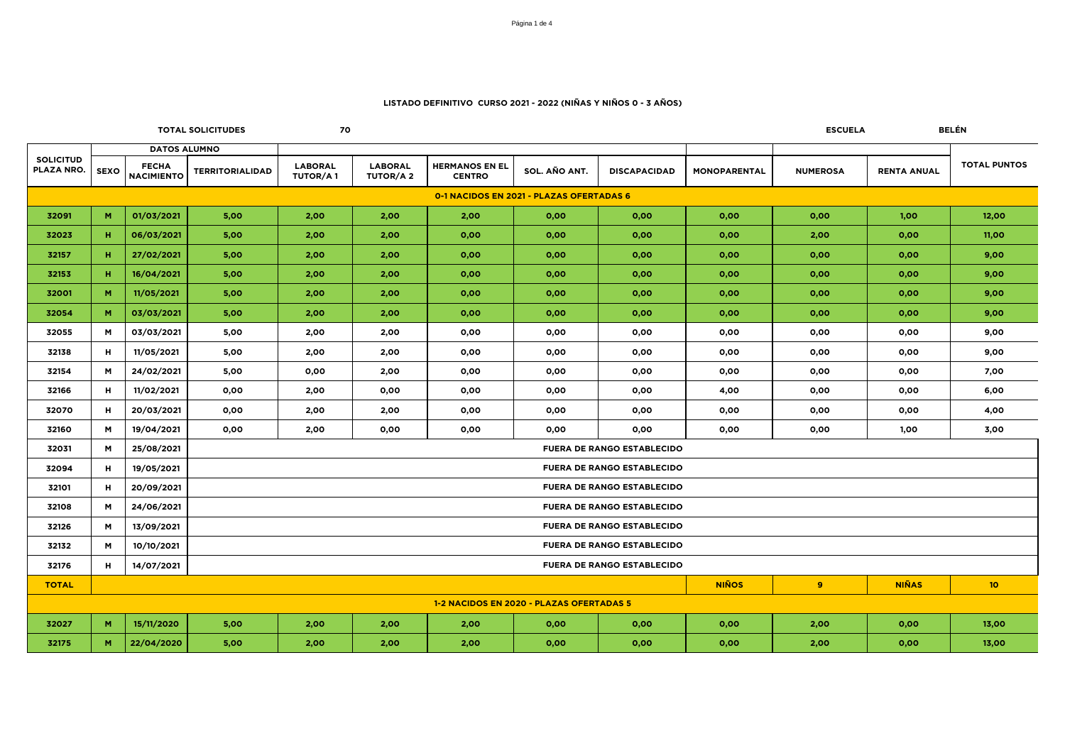|                                          |                     |                                   | <b>TOTAL SOLICITUDES</b> | 70                                |                                   |                                        |               |                                   |                     | <b>ESCUELA</b>  |                    | BELÉN               |  |  |
|------------------------------------------|---------------------|-----------------------------------|--------------------------|-----------------------------------|-----------------------------------|----------------------------------------|---------------|-----------------------------------|---------------------|-----------------|--------------------|---------------------|--|--|
|                                          | <b>DATOS ALUMNO</b> |                                   |                          |                                   |                                   |                                        |               |                                   |                     |                 |                    |                     |  |  |
| <b>SOLICITUD</b><br>PLAZA NRO.           | <b>SEXO</b>         | <b>FECHA</b><br><b>NACIMIENTO</b> | <b>TERRITORIALIDAD</b>   | <b>LABORAL</b><br><b>TUTOR/A1</b> | <b>LABORAL</b><br><b>TUTOR/A2</b> | <b>HERMANOS EN EL</b><br><b>CENTRO</b> | SOL. AÑO ANT. | <b>DISCAPACIDAD</b>               | <b>MONOPARENTAL</b> | <b>NUMEROSA</b> | <b>RENTA ANUAL</b> | <b>TOTAL PUNTOS</b> |  |  |
| 0-1 NACIDOS EN 2021 - PLAZAS OFERTADAS 6 |                     |                                   |                          |                                   |                                   |                                        |               |                                   |                     |                 |                    |                     |  |  |
| 32091                                    | M                   | 01/03/2021                        | 5,00                     | 2,00                              | 2,00                              | 2,00                                   | 0,00          | 0,00                              | 0,00                | 0,00            | 1,00               | 12,00               |  |  |
| 32023                                    | н                   | 06/03/2021                        | 5,00                     | 2,00                              | 2,00                              | 0,00                                   | 0,00          | 0,00                              | 0,00                | 2,00            | 0,00               | 11,00               |  |  |
| 32157                                    | н.                  | 27/02/2021                        | 5,00                     | 2,00                              | 2,00                              | 0,00                                   | 0,00          | 0,00                              | 0,00                | 0,00            | 0,00               | 9,00                |  |  |
| 32153                                    | н.                  | 16/04/2021                        | 5,00                     | 2,00                              | 2,00                              | 0,00                                   | 0,00          | 0,00                              | 0,00                | 0,00            | 0,00               | 9,00                |  |  |
| 32001                                    | M                   | 11/05/2021                        | 5,00                     | 2,00                              | 2,00                              | 0,00                                   | 0,00          | 0,00                              | 0,00                | 0,00            | 0,00               | 9,00                |  |  |
| 32054                                    | M                   | 03/03/2021                        | 5,00                     | 2,00                              | 2,00                              | 0,00                                   | 0,00          | 0,00                              | 0,00                | 0,00            | 0,00               | 9,00                |  |  |
| 32055                                    | M                   | 03/03/2021                        | 5,00                     | 2,00                              | 2,00                              | 0,00                                   | 0,00          | 0,00                              | 0,00                | 0,00            | 0,00               | 9,00                |  |  |
| 32138                                    | н                   | 11/05/2021                        | 5,00                     | 2,00                              | 2,00                              | 0,00                                   | 0,00          | 0,00                              | 0,00                | 0,00            | 0,00               | 9,00                |  |  |
| 32154                                    | M                   | 24/02/2021                        | 5,00                     | 0,00                              | 2,00                              | 0,00                                   | 0,00          | 0,00                              | 0,00                | 0,00            | 0,00               | 7,00                |  |  |
| 32166                                    | н                   | 11/02/2021                        | 0,00                     | 2,00                              | 0,00                              | 0,00                                   | 0,00          | 0,00                              | 4,00                | 0,00            | 0,00               | 6,00                |  |  |
| 32070                                    | н                   | 20/03/2021                        | 0,00                     | 2,00                              | 2,00                              | 0,00                                   | 0,00          | 0,00                              | 0,00                | 0,00            | 0,00               | 4,00                |  |  |
| 32160                                    | M                   | 19/04/2021                        | 0,00                     | 2,00                              | 0,00                              | 0,00                                   | 0,00          | 0,00                              | 0,00                | 0,00            | 1,00               | 3,00                |  |  |
| 32031                                    | M                   | 25/08/2021                        |                          |                                   |                                   |                                        |               | <b>FUERA DE RANGO ESTABLECIDO</b> |                     |                 |                    |                     |  |  |
| 32094                                    | н.                  | 19/05/2021                        |                          |                                   |                                   |                                        |               | <b>FUERA DE RANGO ESTABLECIDO</b> |                     |                 |                    |                     |  |  |
| 32101                                    | н                   | 20/09/2021                        |                          |                                   |                                   |                                        |               | <b>FUERA DE RANGO ESTABLECIDO</b> |                     |                 |                    |                     |  |  |
| 32108                                    | M                   | 24/06/2021                        |                          |                                   |                                   |                                        |               | <b>FUERA DE RANGO ESTABLECIDO</b> |                     |                 |                    |                     |  |  |
| 32126                                    | M                   | 13/09/2021                        |                          |                                   |                                   |                                        |               | <b>FUERA DE RANGO ESTABLECIDO</b> |                     |                 |                    |                     |  |  |
| 32132                                    | M                   | 10/10/2021                        |                          |                                   |                                   |                                        |               | <b>FUERA DE RANGO ESTABLECIDO</b> |                     |                 |                    |                     |  |  |
| 32176                                    | н.                  | 14/07/2021                        |                          | <b>FUERA DE RANGO ESTABLECIDO</b> |                                   |                                        |               |                                   |                     |                 |                    |                     |  |  |
| <b>TOTAL</b>                             |                     |                                   |                          |                                   |                                   |                                        |               |                                   | <b>NIÑOS</b>        | 9               | <b>NIÑAS</b>       | 10 <sup>°</sup>     |  |  |
| 1-2 NACIDOS EN 2020 - PLAZAS OFERTADAS 5 |                     |                                   |                          |                                   |                                   |                                        |               |                                   |                     |                 |                    |                     |  |  |
| 32027                                    | M                   | 15/11/2020                        | 5,00                     | 2,00                              | 2,00                              | 2,00                                   | 0,00          | 0,00                              | 0,00                | 2,00            | 0,00               | 13,00               |  |  |
| 32175                                    | M                   | 22/04/2020                        | 5,00                     | 2,00                              | 2,00                              | 2,00                                   | 0,00          | 0,00                              | 0,00                | 2,00            | 0,00               | 13,00               |  |  |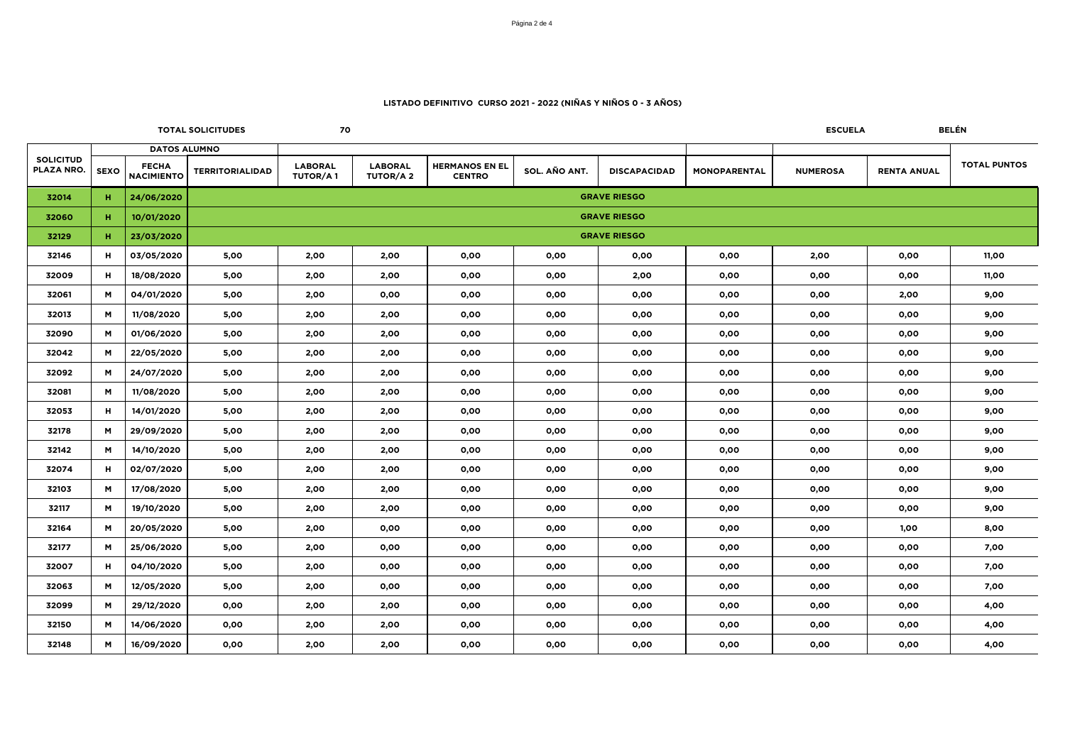|                                |             |                                   | <b>TOTAL SOLICITUDES</b> | 70                                |                                   |                                        | BELÉN<br><b>ESCUELA</b> |                     |              |                 |                    |                     |  |  |
|--------------------------------|-------------|-----------------------------------|--------------------------|-----------------------------------|-----------------------------------|----------------------------------------|-------------------------|---------------------|--------------|-----------------|--------------------|---------------------|--|--|
|                                |             | <b>DATOS ALUMNO</b>               |                          |                                   |                                   |                                        |                         |                     |              |                 |                    |                     |  |  |
| <b>SOLICITUD</b><br>PLAZA NRO. | <b>SEXO</b> | <b>FECHA</b><br><b>NACIMIENTO</b> | <b>TERRITORIALIDAD</b>   | <b>LABORAL</b><br><b>TUTOR/A1</b> | <b>LABORAL</b><br><b>TUTOR/A2</b> | <b>HERMANOS EN EL</b><br><b>CENTRO</b> | SOL. AÑO ANT.           | <b>DISCAPACIDAD</b> | MONOPARENTAL | <b>NUMEROSA</b> | <b>RENTA ANUAL</b> | <b>TOTAL PUNTOS</b> |  |  |
| 32014                          |             | 24/06/2020                        |                          |                                   |                                   |                                        |                         | <b>GRAVE RIESGO</b> |              |                 |                    |                     |  |  |
| 32060                          | н           | 10/01/2020                        | <b>GRAVE RIESGO</b>      |                                   |                                   |                                        |                         |                     |              |                 |                    |                     |  |  |
| 32129                          | н           | 23/03/2020                        | <b>GRAVE RIESGO</b>      |                                   |                                   |                                        |                         |                     |              |                 |                    |                     |  |  |
| 32146                          | н           | 03/05/2020                        | 5,00                     | 2,00                              | 2,00                              | 0,00                                   | 0,00                    | 0,00                | 0,00         | 2,00            | 0,00               | 11,00               |  |  |
| 32009                          | н           | 18/08/2020                        | 5,00                     | 2,00                              | 2,00                              | 0,00                                   | 0,00                    | 2,00                | 0,00         | 0,00            | 0,00               | 11,00               |  |  |
| 32061                          | м           | 04/01/2020                        | 5,00                     | 2,00                              | 0,00                              | 0,00                                   | 0,00                    | 0,00                | 0,00         | 0,00            | 2,00               | 9,00                |  |  |
| 32013                          | M           | 11/08/2020                        | 5,00                     | 2,00                              | 2,00                              | 0,00                                   | 0,00                    | 0,00                | 0,00         | 0,00            | 0,00               | 9,00                |  |  |
| 32090                          | м           | 01/06/2020                        | 5,00                     | 2,00                              | 2,00                              | 0,00                                   | 0,00                    | 0,00                | 0,00         | 0,00            | 0,00               | 9,00                |  |  |
| 32042                          | м           | 22/05/2020                        | 5,00                     | 2,00                              | 2,00                              | 0,00                                   | 0,00                    | 0,00                | 0,00         | 0,00            | 0,00               | 9,00                |  |  |
| 32092                          | м           | 24/07/2020                        | 5,00                     | 2,00                              | 2,00                              | 0,00                                   | 0,00                    | 0,00                | 0,00         | 0,00            | 0,00               | 9,00                |  |  |
| 32081                          | м           | 11/08/2020                        | 5,00                     | 2,00                              | 2,00                              | 0,00                                   | 0,00                    | 0,00                | 0,00         | 0,00            | 0,00               | 9,00                |  |  |
| 32053                          | н           | 14/01/2020                        | 5,00                     | 2,00                              | 2,00                              | 0,00                                   | 0,00                    | 0,00                | 0,00         | 0,00            | 0,00               | 9,00                |  |  |
| 32178                          | м           | 29/09/2020                        | 5,00                     | 2,00                              | 2,00                              | 0,00                                   | 0,00                    | 0,00                | 0,00         | 0,00            | 0,00               | 9,00                |  |  |
| 32142                          | M           | 14/10/2020                        | 5,00                     | 2,00                              | 2,00                              | 0,00                                   | 0,00                    | 0,00                | 0,00         | 0,00            | 0,00               | 9,00                |  |  |
| 32074                          | н           | 02/07/2020                        | 5,00                     | 2,00                              | 2,00                              | 0,00                                   | 0,00                    | 0,00                | 0,00         | 0,00            | 0,00               | 9,00                |  |  |
| 32103                          | м           | 17/08/2020                        | 5,00                     | 2,00                              | 2,00                              | 0,00                                   | 0,00                    | 0,00                | 0,00         | 0,00            | 0,00               | 9,00                |  |  |
| 32117                          | м           | 19/10/2020                        | 5,00                     | 2,00                              | 2,00                              | 0,00                                   | 0,00                    | 0,00                | 0,00         | 0,00            | 0,00               | 9,00                |  |  |
| 32164                          | м           | 20/05/2020                        | 5,00                     | 2,00                              | 0,00                              | 0,00                                   | 0,00                    | 0,00                | 0,00         | 0,00            | 1,00               | 8,00                |  |  |
| 32177                          | M           | 25/06/2020                        | 5,00                     | 2,00                              | 0,00                              | 0,00                                   | 0,00                    | 0,00                | 0,00         | 0,00            | 0,00               | 7,00                |  |  |
| 32007                          | н           | 04/10/2020                        | 5,00                     | 2,00                              | 0,00                              | 0,00                                   | 0,00                    | 0,00                | 0,00         | 0,00            | 0,00               | 7,00                |  |  |
| 32063                          | M           | 12/05/2020                        | 5,00                     | 2,00                              | 0,00                              | 0,00                                   | 0,00                    | 0,00                | 0,00         | 0,00            | 0,00               | 7,00                |  |  |
| 32099                          | M           | 29/12/2020                        | 0,00                     | 2,00                              | 2,00                              | 0,00                                   | 0,00                    | 0,00                | 0,00         | 0,00            | 0,00               | 4,00                |  |  |
| 32150                          | м           | 14/06/2020                        | 0,00                     | 2,00                              | 2,00                              | 0,00                                   | 0,00                    | 0,00                | 0,00         | 0,00            | 0,00               | 4,00                |  |  |
| 32148                          | м           | 16/09/2020                        | 0,00                     | 2,00                              | 2,00                              | 0,00                                   | 0,00                    | 0,00                | 0,00         | 0,00            | 0,00               | 4,00                |  |  |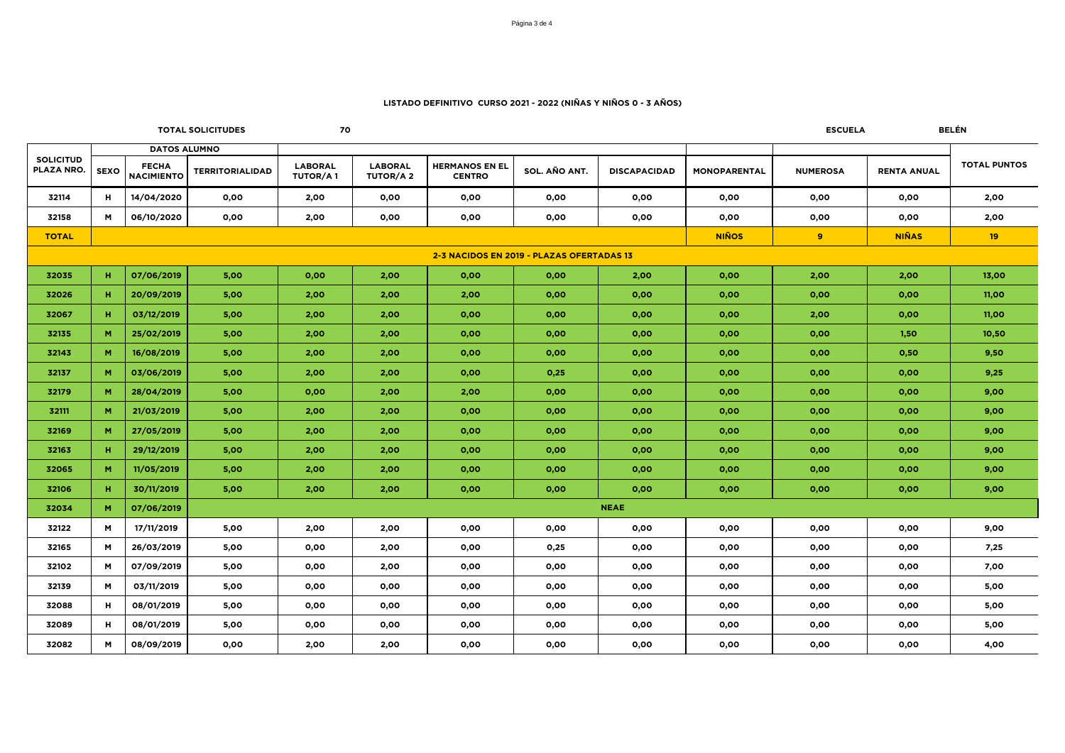|                                |                                           |                                   | <b>TOTAL SOLICITUDES</b> | 70                                |                                   |                                        |               |                     |                     | <b>ESCUELA</b>  |                    | <b>BELÉN</b>        |
|--------------------------------|-------------------------------------------|-----------------------------------|--------------------------|-----------------------------------|-----------------------------------|----------------------------------------|---------------|---------------------|---------------------|-----------------|--------------------|---------------------|
|                                | <b>DATOS ALUMNO</b>                       |                                   |                          |                                   |                                   |                                        |               |                     |                     |                 |                    |                     |
| <b>SOLICITUD</b><br>PLAZA NRO. | <b>SEXO</b>                               | <b>FECHA</b><br><b>NACIMIENTO</b> | <b>TERRITORIALIDAD</b>   | <b>LABORAL</b><br><b>TUTOR/A1</b> | <b>LABORAL</b><br><b>TUTOR/A2</b> | <b>HERMANOS EN EL</b><br><b>CENTRO</b> | SOL. AÑO ANT. | <b>DISCAPACIDAD</b> | <b>MONOPARENTAL</b> | <b>NUMEROSA</b> | <b>RENTA ANUAL</b> | <b>TOTAL PUNTOS</b> |
| 32114                          | н.                                        | 14/04/2020                        | 0.00                     | 2,00                              | 0,00                              | 0,00                                   | 0,00          | 0,00                | 0,00                | 0,00            | 0,00               | 2,00                |
| 32158                          | M                                         | 06/10/2020                        | 0,00                     | 2,00                              | 0,00                              | 0,00                                   | 0,00          | 0,00                | 0,00                | 0,00            | 0,00               | 2,00                |
| <b>TOTAL</b>                   |                                           |                                   |                          |                                   |                                   |                                        |               |                     | <b>NIÑOS</b>        | 9               | <b>NIÑAS</b>       | 19                  |
|                                | 2-3 NACIDOS EN 2019 - PLAZAS OFERTADAS 13 |                                   |                          |                                   |                                   |                                        |               |                     |                     |                 |                    |                     |
| 32035                          | н.                                        | 07/06/2019                        | 5,00                     | 0,00                              | 2,00                              | 0,00                                   | 0,00          | 2,00                | 0,00                | 2,00            | 2,00               | 13,00               |
| 32026                          | н.                                        | 20/09/2019                        | 5,00                     | 2,00                              | 2,00                              | 2,00                                   | 0,00          | 0,00                | 0,00                | 0,00            | 0,00               | 11,00               |
| 32067                          | н.                                        | 03/12/2019                        | 5,00                     | 2,00                              | 2,00                              | 0,00                                   | 0,00          | 0,00                | 0,00                | 2,00            | 0,00               | 11,00               |
| 32135                          | M.                                        | 25/02/2019                        | 5,00                     | 2,00                              | 2,00                              | 0,00                                   | 0,00          | 0,00                | 0,00                | 0,00            | 1,50               | 10,50               |
| 32143                          | M.                                        | 16/08/2019                        | 5,00                     | 2,00                              | 2,00                              | 0,00                                   | 0,00          | 0.00                | 0,00                | 0,00            | 0,50               | 9.50                |
| 32137                          | M.                                        | 03/06/2019                        | 5,00                     | 2,00                              | 2,00                              | 0,00                                   | 0,25          | 0,00                | 0,00                | 0,00            | 0,00               | 9,25                |
| 32179                          | M                                         | 28/04/2019                        | 5,00                     | 0,00                              | 2,00                              | 2,00                                   | 0,00          | 0,00                | 0,00                | 0,00            | 0,00               | 9,00                |
| 32111                          | M.                                        | 21/03/2019                        | 5,00                     | 2,00                              | 2,00                              | 0,00                                   | 0,00          | 0,00                | 0,00                | 0,00            | 0,00               | 9,00                |
| 32169                          | M                                         | 27/05/2019                        | 5,00                     | 2,00                              | 2,00                              | 0,00                                   | 0,00          | 0,00                | 0,00                | 0,00            | 0,00               | 9,00                |
| 32163                          | н.                                        | 29/12/2019                        | 5,00                     | 2,00                              | 2,00                              | 0,00                                   | 0,00          | 0,00                | 0,00                | 0,00            | 0,00               | 9,00                |
| 32065                          | M                                         | 11/05/2019                        | 5,00                     | 2,00                              | 2,00                              | 0,00                                   | 0,00          | 0,00                | 0,00                | 0,00            | 0,00               | 9,00                |
| 32106                          | н.                                        | 30/11/2019                        | 5,00                     | 2,00                              | 2,00                              | 0,00                                   | 0,00          | 0,00                | 0,00                | 0,00            | 0,00               | 9,00                |
| 32034                          | M                                         | 07/06/2019                        |                          |                                   |                                   |                                        |               | <b>NEAE</b>         |                     |                 |                    |                     |
| 32122                          | M                                         | 17/11/2019                        | 5,00                     | 2,00                              | 2,00                              | 0,00                                   | 0,00          | 0,00                | 0,00                | 0,00            | 0,00               | 9,00                |
| 32165                          | M                                         | 26/03/2019                        | 5,00                     | 0,00                              | 2,00                              | 0,00                                   | 0,25          | 0,00                | 0,00                | 0,00            | 0,00               | 7,25                |
| 32102                          | M                                         | 07/09/2019                        | 5,00                     | 0,00                              | 2,00                              | 0,00                                   | 0,00          | 0,00                | 0,00                | 0,00            | 0,00               | 7,00                |
| 32139                          | M                                         | 03/11/2019                        | 5,00                     | 0,00                              | 0,00                              | 0,00                                   | 0,00          | 0,00                | 0,00                | 0,00            | 0,00               | 5,00                |
| 32088                          | H                                         | 08/01/2019                        | 5,00                     | 0.00                              | 0,00                              | 0.00                                   | 0.00          | 0,00                | 0.00                | 0,00            | 0,00               | 5,00                |
| 32089                          | н                                         | 08/01/2019                        | 5,00                     | 0,00                              | 0,00                              | 0,00                                   | 0,00          | 0,00                | 0,00                | 0,00            | 0,00               | 5,00                |
| 32082                          | M                                         | 08/09/2019                        | 0,00                     | 2,00                              | 2,00                              | 0,00                                   | 0,00          | 0,00                | 0,00                | 0,00            | 0,00               | 4,00                |